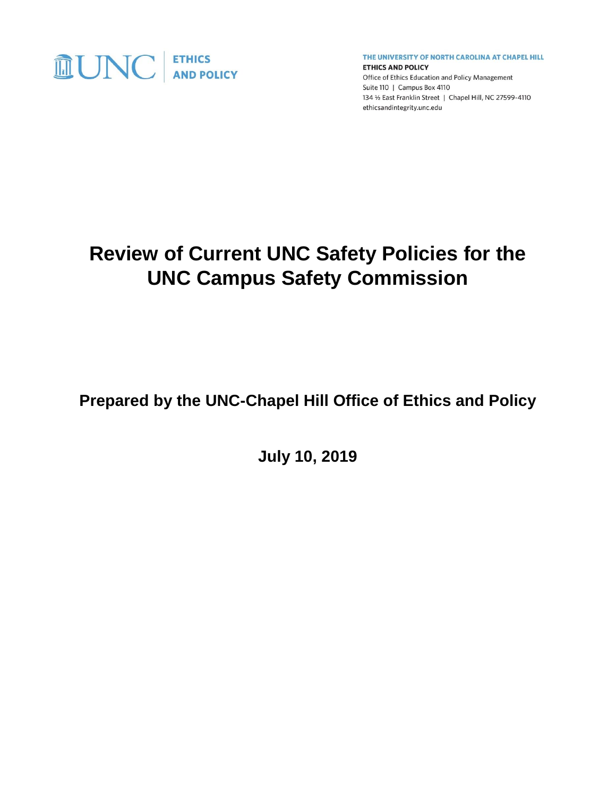

THE UNIVERSITY OF NORTH CAROLINA AT CHAPEL HILL

**ETHICS AND POLICY** Office of Ethics Education and Policy Management Suite 110 | Campus Box 4110 134 1/2 East Franklin Street | Chapel Hill, NC 27599-4110 ethicsandintegrity.unc.edu

# **Review of Current UNC Safety Policies for the UNC Campus Safety Commission**

**Prepared by the UNC-Chapel Hill Office of Ethics and Policy**

**July 10, 2019**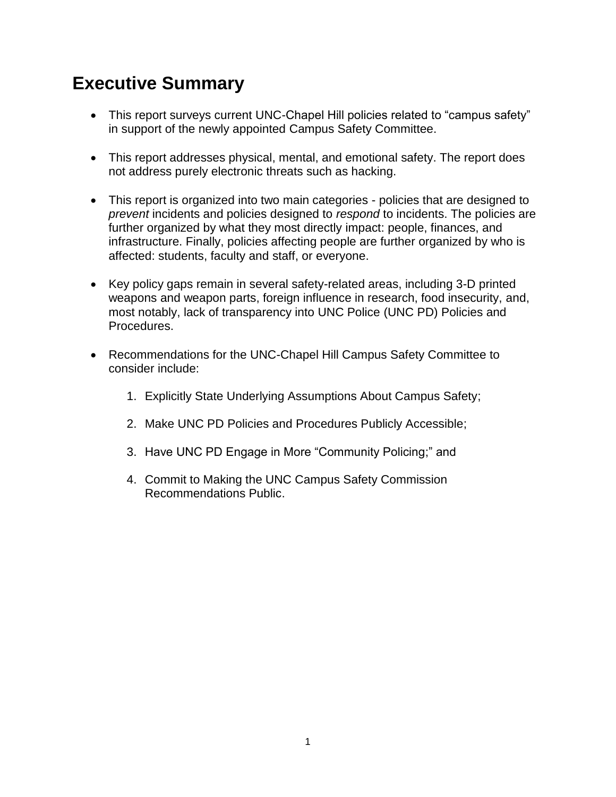# **Executive Summary**

- This report surveys current UNC-Chapel Hill policies related to "campus safety" in support of the newly appointed Campus Safety Committee.
- This report addresses physical, mental, and emotional safety. The report does not address purely electronic threats such as hacking.
- This report is organized into two main categories policies that are designed to *prevent* incidents and policies designed to *respond* to incidents. The policies are further organized by what they most directly impact: people, finances, and infrastructure. Finally, policies affecting people are further organized by who is affected: students, faculty and staff, or everyone.
- Key policy gaps remain in several safety-related areas, including 3-D printed weapons and weapon parts, foreign influence in research, food insecurity, and, most notably, lack of transparency into UNC Police (UNC PD) Policies and Procedures.
- Recommendations for the UNC-Chapel Hill Campus Safety Committee to consider include:
	- 1. Explicitly State Underlying Assumptions About Campus Safety;
	- 2. Make UNC PD Policies and Procedures Publicly Accessible;
	- 3. Have UNC PD Engage in More "Community Policing;" and
	- 4. Commit to Making the UNC Campus Safety Commission Recommendations Public.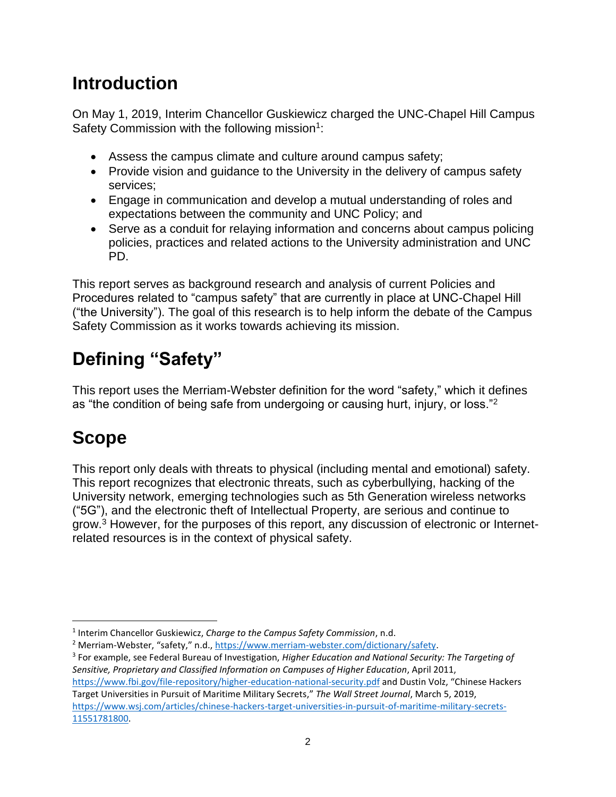# **Introduction**

On May 1, 2019, Interim Chancellor Guskiewicz charged the UNC-Chapel Hill Campus Safety Commission with the following mission<sup>1</sup>:

- Assess the campus climate and culture around campus safety;
- Provide vision and quidance to the University in the delivery of campus safety services;
- Engage in communication and develop a mutual understanding of roles and expectations between the community and UNC Policy; and
- Serve as a conduit for relaying information and concerns about campus policing policies, practices and related actions to the University administration and UNC PD.

This report serves as background research and analysis of current Policies and Procedures related to "campus safety" that are currently in place at UNC-Chapel Hill ("the University"). The goal of this research is to help inform the debate of the Campus Safety Commission as it works towards achieving its mission.

# **Defining "Safety"**

This report uses the Merriam-Webster definition for the word "safety," which it defines as "the condition of being safe from undergoing or causing hurt, injury, or loss."<sup>2</sup>

# **Scope**

 $\overline{a}$ 

This report only deals with threats to physical (including mental and emotional) safety. This report recognizes that electronic threats, such as cyberbullying, hacking of the University network, emerging technologies such as 5th Generation wireless networks ("5G"), and the electronic theft of Intellectual Property, are serious and continue to grow.<sup>3</sup> However, for the purposes of this report, any discussion of electronic or Internetrelated resources is in the context of physical safety.

<sup>1</sup> Interim Chancellor Guskiewicz, *Charge to the Campus Safety Commission*, n.d.

<sup>2</sup> Merriam-Webster, "safety," n.d., [https://www.merriam-webster.com/dictionary/safety.](https://www.merriam-webster.com/dictionary/safety)

<sup>3</sup> For example, see Federal Bureau of Investigation, *Higher Education and National Security: The Targeting of Sensitive, Proprietary and Classified Information on Campuses of Higher Education*, April 2011, <https://www.fbi.gov/file-repository/higher-education-national-security.pdf> and Dustin Volz, "Chinese Hackers Target Universities in Pursuit of Maritime Military Secrets," *The Wall Street Journal*, March 5, 2019, [https://www.wsj.com/articles/chinese-hackers-target-universities-in-pursuit-of-maritime-military-secrets-](https://www.wsj.com/articles/chinese-hackers-target-universities-in-pursuit-of-maritime-military-secrets-11551781800)[11551781800.](https://www.wsj.com/articles/chinese-hackers-target-universities-in-pursuit-of-maritime-military-secrets-11551781800)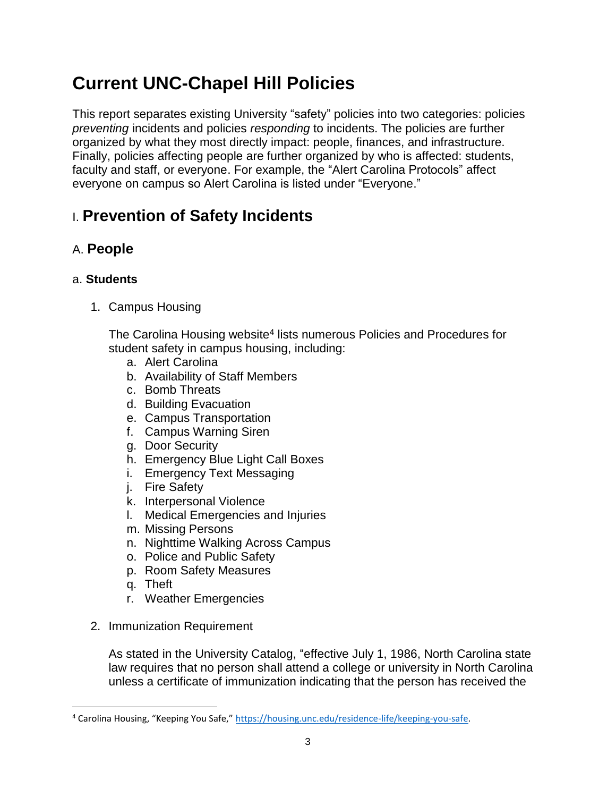# **Current UNC-Chapel Hill Policies**

This report separates existing University "safety" policies into two categories: policies *preventing* incidents and policies *responding* to incidents. The policies are further organized by what they most directly impact: people, finances, and infrastructure. Finally, policies affecting people are further organized by who is affected: students, faculty and staff, or everyone. For example, the "Alert Carolina Protocols" affect everyone on campus so Alert Carolina is listed under "Everyone."

## I. **Prevention of Safety Incidents**

### A. **People**

#### a. **Students**

1. Campus Housing

The Carolina Housing website<sup>4</sup> lists numerous Policies and Procedures for student safety in campus housing, including:

- a. Alert Carolina
- b. Availability of Staff Members
- c. Bomb Threats
- d. Building Evacuation
- e. Campus Transportation
- f. Campus Warning Siren
- g. Door Security
- h. Emergency Blue Light Call Boxes
- i. Emergency Text Messaging
- j. Fire Safety
- k. Interpersonal Violence
- l. Medical Emergencies and Injuries
- m. Missing Persons
- n. Nighttime Walking Across Campus
- o. Police and Public Safety
- p. Room Safety Measures
- q. Theft

 $\overline{\phantom{a}}$ 

- r. Weather Emergencies
- 2. Immunization Requirement

As stated in the University Catalog, "effective July 1, 1986, North Carolina state law requires that no person shall attend a college or university in North Carolina unless a certificate of immunization indicating that the person has received the

<sup>4</sup> Carolina Housing, "Keeping You Safe," [https://housing.unc.edu/residence-life/keeping-you-safe.](https://housing.unc.edu/residence-life/keeping-you-safe)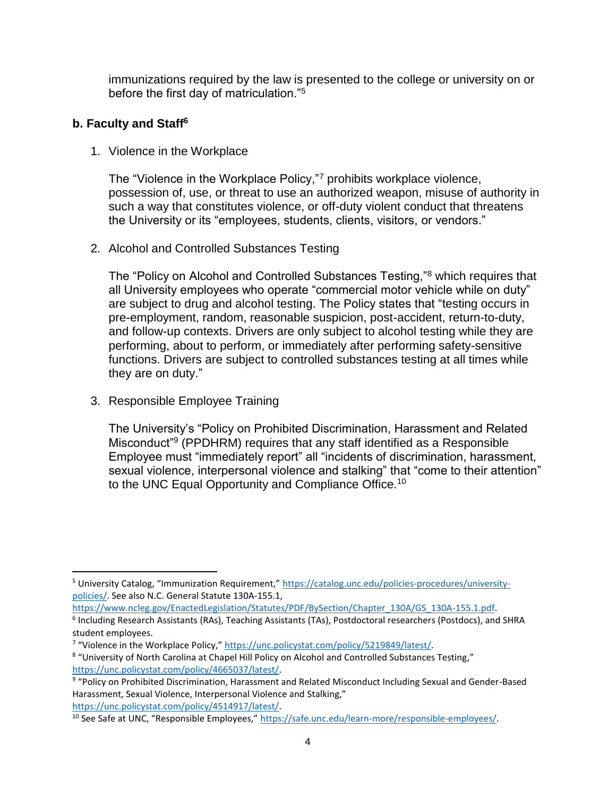immunizations required by the law is presented to the college or university on or before the first day of matriculation."<sup>5</sup>

#### **b. Faculty and Staff<sup>6</sup>**

1. Violence in the Workplace

The "Violence in the Workplace Policy,"<sup>7</sup> prohibits workplace violence, possession of, use, or threat to use an authorized weapon, misuse of authority in such a way that constitutes violence, or off-duty violent conduct that threatens the University or its "employees, students, clients, visitors, or vendors."

2. Alcohol and Controlled Substances Testing

The "Policy on Alcohol and Controlled Substances Testing,"<sup>8</sup> which requires that all University employees who operate "commercial motor vehicle while on duty" are subject to drug and alcohol testing. The Policy states that "testing occurs in pre-employment, random, reasonable suspicion, post-accident, return-to-duty, and follow-up contexts. Drivers are only subject to alcohol testing while they are performing, about to perform, or immediately after performing safety-sensitive functions. Drivers are subject to controlled substances testing at all times while they are on duty."

3. Responsible Employee Training

 $\overline{\phantom{a}}$ 

The University's "Policy on Prohibited Discrimination, Harassment and Related Misconduct"<sup>9</sup> (PPDHRM) requires that any staff identified as a Responsible Employee must "immediately report" all "incidents of discrimination, harassment, sexual violence, interpersonal violence and stalking" that "come to their attention" to the UNC Equal Opportunity and Compliance Office.<sup>10</sup>

<sup>5</sup> University Catalog, "Immunization Requirement," [https://catalog.unc.edu/policies-procedures/university](https://catalog.unc.edu/policies-procedures/university-policies/)[policies/.](https://catalog.unc.edu/policies-procedures/university-policies/) See also N.C. General Statute 130A-155.1,

[https://www.ncleg.gov/EnactedLegislation/Statutes/PDF/BySection/Chapter\\_130A/GS\\_130A-155.1.pdf.](https://www.ncleg.gov/EnactedLegislation/Statutes/PDF/BySection/Chapter_130A/GS_130A-155.1.pdf)

<sup>6</sup> Including Research Assistants (RAs), Teaching Assistants (TAs), Postdoctoral researchers (Postdocs), and SHRA student employees.

<sup>&</sup>lt;sup>7</sup> "Violence in the Workplace Policy," [https://unc.policystat.com/policy/5219849/latest/.](https://unc.policystat.com/policy/5219849/latest/)

<sup>8</sup> "University of North Carolina at Chapel Hill Policy on Alcohol and Controlled Substances Testing," [https://unc.policystat.com/policy/4665037/latest/.](https://unc.policystat.com/policy/4665037/latest/)

<sup>&</sup>lt;sup>9</sup> "Policy on Prohibited Discrimination, Harassment and Related Misconduct Including Sexual and Gender-Based Harassment, Sexual Violence, Interpersonal Violence and Stalking," [https://unc.policystat.com/policy/4514917/latest/.](https://unc.policystat.com/policy/4514917/latest/)

<sup>&</sup>lt;sup>10</sup> See Safe at UNC, "Responsible Employees," [https://safe.unc.edu/learn-more/responsible-employees/.](https://safe.unc.edu/learn-more/responsible-employees/)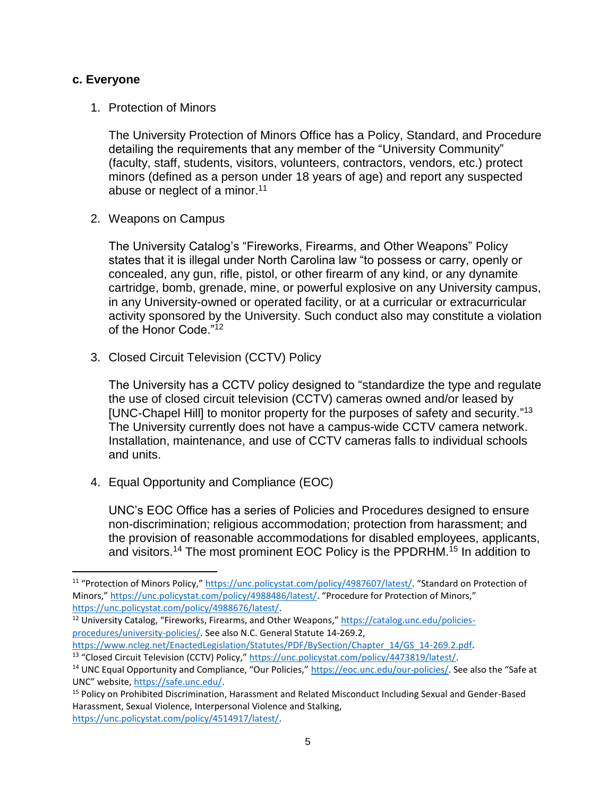#### **c. Everyone**

 $\overline{\phantom{a}}$ 

1. Protection of Minors

The University Protection of Minors Office has a Policy, Standard, and Procedure detailing the requirements that any member of the "University Community" (faculty, staff, students, visitors, volunteers, contractors, vendors, etc.) protect minors (defined as a person under 18 years of age) and report any suspected abuse or neglect of a minor.<sup>11</sup>

2. Weapons on Campus

The University Catalog's "Fireworks, Firearms, and Other Weapons" Policy states that it is illegal under North Carolina law "to possess or carry, openly or concealed, any gun, rifle, pistol, or other firearm of any kind, or any dynamite cartridge, bomb, grenade, mine, or powerful explosive on any University campus, in any University-owned or operated facility, or at a curricular or extracurricular activity sponsored by the University. Such conduct also may constitute a violation of the Honor Code<sup>"12</sup>

3. Closed Circuit Television (CCTV) Policy

The University has a CCTV policy designed to "standardize the type and regulate the use of closed circuit television (CCTV) cameras owned and/or leased by [UNC-Chapel Hill] to monitor property for the purposes of safety and security."<sup>13</sup> The University currently does not have a campus-wide CCTV camera network. Installation, maintenance, and use of CCTV cameras falls to individual schools and units.

4. Equal Opportunity and Compliance (EOC)

UNC's EOC Office has a series of Policies and Procedures designed to ensure non-discrimination; religious accommodation; protection from harassment; and the provision of reasonable accommodations for disabled employees, applicants, and visitors.<sup>14</sup> The most prominent EOC Policy is the PPDRHM.<sup>15</sup> In addition to

<sup>11</sup> "Protection of Minors Policy," <https://unc.policystat.com/policy/4987607/latest/>. "Standard on Protection of Minors," <https://unc.policystat.com/policy/4988486/latest/>. "Procedure for Protection of Minors," [https://unc.policystat.com/policy/4988676/latest/.](https://unc.policystat.com/policy/4988676/latest/)

<sup>&</sup>lt;sup>12</sup> University Catalog, "Fireworks, Firearms, and Other Weapons," [https://catalog.unc.edu/policies](https://catalog.unc.edu/policies-procedures/university-policies/)[procedures/university-policies/.](https://catalog.unc.edu/policies-procedures/university-policies/) See also N.C. General Statute 14-269.2,

[https://www.ncleg.net/EnactedLegislation/Statutes/PDF/BySection/Chapter\\_14/GS\\_14-269.2.pdf.](https://www.ncleg.net/EnactedLegislation/Statutes/PDF/BySection/Chapter_14/GS_14-269.2.pdf) <sup>13</sup> "Closed Circuit Television (CCTV) Policy," <u>https://unc.policystat.com/policy/4473819/latest/</u>.

<sup>&</sup>lt;sup>14</sup> UNC Equal Opportunity and Compliance, "Our Policies," [https://eoc.unc.edu/our-policies/.](https://eoc.unc.edu/our-policies/) See also the "Safe at UNC" website, [https://safe.unc.edu/.](https://safe.unc.edu/)

<sup>15</sup> Policy on Prohibited Discrimination, Harassment and Related Misconduct Including Sexual and Gender-Based Harassment, Sexual Violence, Interpersonal Violence and Stalking, [https://unc.policystat.com/policy/4514917/latest/.](https://unc.policystat.com/policy/4514917/latest/)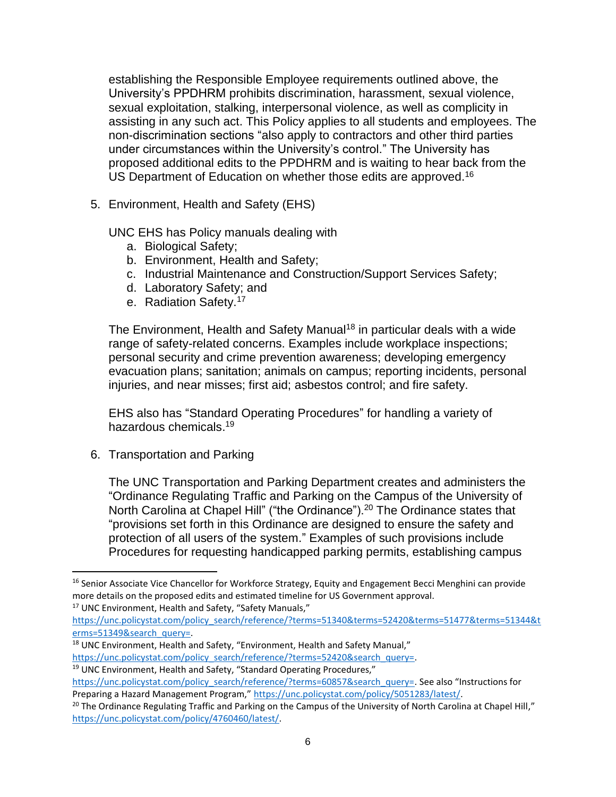establishing the Responsible Employee requirements outlined above, the University's PPDHRM prohibits discrimination, harassment, sexual violence, sexual exploitation, stalking, interpersonal violence, as well as complicity in assisting in any such act. This Policy applies to all students and employees. The non-discrimination sections "also apply to contractors and other third parties under circumstances within the University's control." The University has proposed additional edits to the PPDHRM and is waiting to hear back from the US Department of Education on whether those edits are approved.<sup>16</sup>

5. Environment, Health and Safety (EHS)

UNC EHS has Policy manuals dealing with

- a. Biological Safety;
- b. Environment, Health and Safety;
- c. Industrial Maintenance and Construction/Support Services Safety;
- d. Laboratory Safety; and
- e. Radiation Safety.<sup>17</sup>

The Environment, Health and Safety Manual<sup>18</sup> in particular deals with a wide range of safety-related concerns. Examples include workplace inspections; personal security and crime prevention awareness; developing emergency evacuation plans; sanitation; animals on campus; reporting incidents, personal injuries, and near misses; first aid; asbestos control; and fire safety.

EHS also has "Standard Operating Procedures" for handling a variety of hazardous chemicals.<sup>19</sup>

6. Transportation and Parking

 $\overline{\phantom{a}}$ 

The UNC Transportation and Parking Department creates and administers the "Ordinance Regulating Traffic and Parking on the Campus of the University of North Carolina at Chapel Hill" ("the Ordinance").<sup>20</sup> The Ordinance states that "provisions set forth in this Ordinance are designed to ensure the safety and protection of all users of the system." Examples of such provisions include Procedures for requesting handicapped parking permits, establishing campus

<sup>17</sup> UNC Environment, Health and Safety, "Safety Manuals,"

[https://unc.policystat.com/policy\\_search/reference/?terms=51340&terms=52420&terms=51477&terms=51344&t](https://unc.policystat.com/policy_search/reference/?terms=51340&terms=52420&terms=51477&terms=51344&terms=51349&search_query=) [erms=51349&search\\_query=.](https://unc.policystat.com/policy_search/reference/?terms=51340&terms=52420&terms=51477&terms=51344&terms=51349&search_query=)

- <sup>18</sup> UNC Environment, Health and Safety, "Environment, Health and Safety Manual," [https://unc.policystat.com/policy\\_search/reference/?terms=52420&search\\_query=.](https://unc.policystat.com/policy_search/reference/?terms=52420&search_query=)
- <sup>19</sup> UNC Environment, Health and Safety, "Standard Operating Procedures,"

<sup>&</sup>lt;sup>16</sup> Senior Associate Vice Chancellor for Workforce Strategy, Equity and Engagement Becci Menghini can provide more details on the proposed edits and estimated timeline for US Government approval.

[https://unc.policystat.com/policy\\_search/reference/?terms=60857&search\\_query=](https://unc.policystat.com/policy_search/reference/?terms=60857&search_query=). See also "Instructions for Preparing a Hazard Management Program," [https://unc.policystat.com/policy/5051283/latest/.](https://unc.policystat.com/policy/5051283/latest/)

 $20$  The Ordinance Regulating Traffic and Parking on the Campus of the University of North Carolina at Chapel Hill," [https://unc.policystat.com/policy/4760460/latest/.](https://unc.policystat.com/policy/4760460/latest/)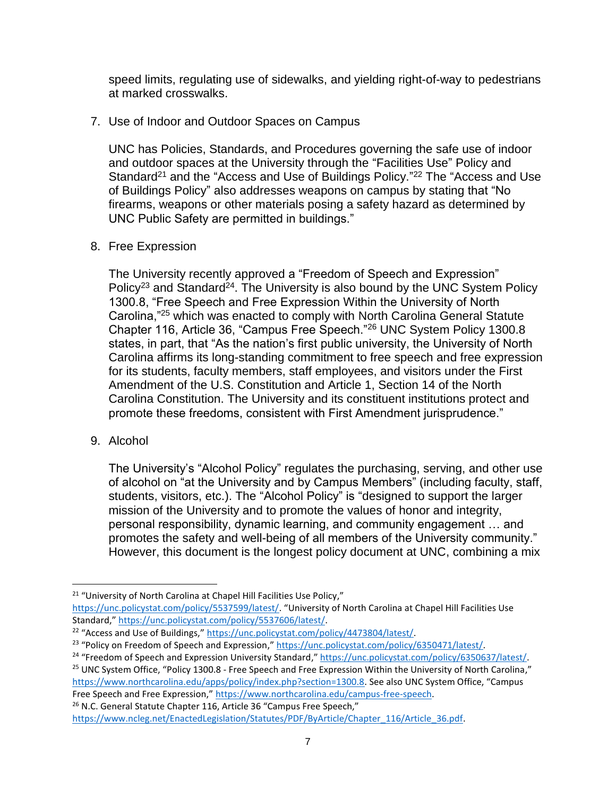speed limits, regulating use of sidewalks, and yielding right-of-way to pedestrians at marked crosswalks.

7. Use of Indoor and Outdoor Spaces on Campus

UNC has Policies, Standards, and Procedures governing the safe use of indoor and outdoor spaces at the University through the "Facilities Use" Policy and Standard<sup>21</sup> and the "Access and Use of Buildings Policy."<sup>22</sup> The "Access and Use of Buildings Policy" also addresses weapons on campus by stating that "No firearms, weapons or other materials posing a safety hazard as determined by UNC Public Safety are permitted in buildings."

#### 8. Free Expression

The University recently approved a "Freedom of Speech and Expression" Policy<sup>23</sup> and Standard<sup>24</sup>. The University is also bound by the UNC System Policy 1300.8, "Free Speech and Free Expression Within the University of North Carolina,"<sup>25</sup> which was enacted to comply with North Carolina General Statute Chapter 116, Article 36, "Campus Free Speech."<sup>26</sup> UNC System Policy 1300.8 states, in part, that "As the nation's first public university, the University of North Carolina affirms its long-standing commitment to free speech and free expression for its students, faculty members, staff employees, and visitors under the First Amendment of the U.S. Constitution and Article 1, Section 14 of the North Carolina Constitution. The University and its constituent institutions protect and promote these freedoms, consistent with First Amendment jurisprudence."

9. Alcohol

 $\overline{\phantom{a}}$ 

The University's "Alcohol Policy" regulates the purchasing, serving, and other use of alcohol on "at the University and by Campus Members" (including faculty, staff, students, visitors, etc.). The "Alcohol Policy" is "designed to support the larger mission of the University and to promote the values of honor and integrity, personal responsibility, dynamic learning, and community engagement … and promotes the safety and well-being of all members of the University community." However, this document is the longest policy document at UNC, combining a mix

<sup>26</sup> N.C. General Statute Chapter 116, Article 36 "Campus Free Speech,"

<sup>&</sup>lt;sup>21</sup> "University of North Carolina at Chapel Hill Facilities Use Policy," <https://unc.policystat.com/policy/5537599/latest/>. "University of North Carolina at Chapel Hill Facilities Use Standard," [https://unc.policystat.com/policy/5537606/latest/.](https://unc.policystat.com/policy/5537606/latest/)

<sup>&</sup>lt;sup>22</sup> "Access and Use of Buildings," [https://unc.policystat.com/policy/4473804/latest/.](https://unc.policystat.com/policy/4473804/latest/)

<sup>&</sup>lt;sup>23</sup> "Policy on Freedom of Speech and Expression," [https://unc.policystat.com/policy/6350471/latest/.](https://unc.policystat.com/policy/6350471/latest/)

<sup>&</sup>lt;sup>24</sup> "Freedom of Speech and Expression University Standard," [https://unc.policystat.com/policy/6350637/latest/.](https://unc.policystat.com/policy/6350637/latest/)

<sup>&</sup>lt;sup>25</sup> UNC System Office, "Policy 1300.8 - Free Speech and Free Expression Within the University of North Carolina," [https://www.northcarolina.edu/apps/policy/index.php?section=1300.8.](https://www.northcarolina.edu/apps/policy/index.php?section=1300.8) See also UNC System Office, "Campus Free Speech and Free Expression," [https://www.northcarolina.edu/campus-free-speech.](https://www.northcarolina.edu/campus-free-speech)

[https://www.ncleg.net/EnactedLegislation/Statutes/PDF/ByArticle/Chapter\\_116/Article\\_36.pdf.](https://www.ncleg.net/EnactedLegislation/Statutes/PDF/ByArticle/Chapter_116/Article_36.pdf)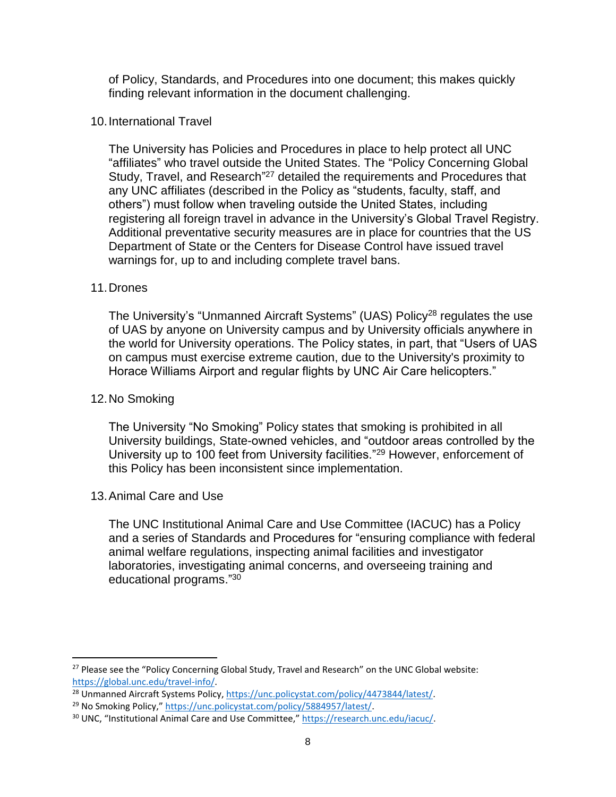of Policy, Standards, and Procedures into one document; this makes quickly finding relevant information in the document challenging.

#### 10.International Travel

The University has Policies and Procedures in place to help protect all UNC "affiliates" who travel outside the United States. The "Policy Concerning Global Study, Travel, and Research<sup>"27</sup> detailed the requirements and Procedures that any UNC affiliates (described in the Policy as "students, faculty, staff, and others") must follow when traveling outside the United States, including registering all foreign travel in advance in the University's Global Travel Registry. Additional preventative security measures are in place for countries that the US Department of State or the Centers for Disease Control have issued travel warnings for, up to and including complete travel bans.

#### 11.Drones

The University's "Unmanned Aircraft Systems" (UAS) Policy<sup>28</sup> regulates the use of UAS by anyone on University campus and by University officials anywhere in the world for University operations. The Policy states, in part, that "Users of UAS on campus must exercise extreme caution, due to the University's proximity to Horace Williams Airport and regular flights by UNC Air Care helicopters."

#### 12.No Smoking

 $\overline{\phantom{a}}$ 

The University "No Smoking" Policy states that smoking is prohibited in all University buildings, State-owned vehicles, and "outdoor areas controlled by the University up to 100 feet from University facilities."<sup>29</sup> However, enforcement of this Policy has been inconsistent since implementation.

#### 13.Animal Care and Use

The UNC Institutional Animal Care and Use Committee (IACUC) has a Policy and a series of Standards and Procedures for "ensuring compliance with federal animal welfare regulations, inspecting animal facilities and investigator laboratories, investigating animal concerns, and overseeing training and educational programs."<sup>30</sup>

<sup>&</sup>lt;sup>27</sup> Please see the "Policy Concerning Global Study, Travel and Research" on the UNC Global website: [https://global.unc.edu/travel-info/.](https://global.unc.edu/travel-info/)

<sup>&</sup>lt;sup>28</sup> Unmanned Aircraft Systems Policy, [https://unc.policystat.com/policy/4473844/latest/.](https://unc.policystat.com/policy/4473844/latest/)

<sup>&</sup>lt;sup>29</sup> No Smoking Policy," [https://unc.policystat.com/policy/5884957/latest/.](https://unc.policystat.com/policy/5884957/latest/)

<sup>&</sup>lt;sup>30</sup> UNC, "Institutional Animal Care and Use Committee," [https://research.unc.edu/iacuc/.](https://research.unc.edu/iacuc/)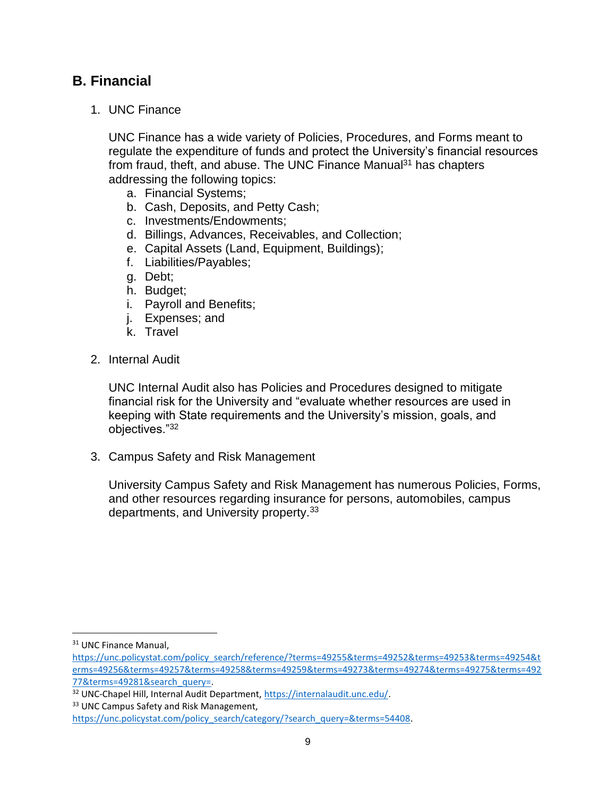### **B. Financial**

1. UNC Finance

UNC Finance has a wide variety of Policies, Procedures, and Forms meant to regulate the expenditure of funds and protect the University's financial resources from fraud, theft, and abuse. The UNC Finance Manual $31$  has chapters addressing the following topics:

- a. Financial Systems;
- b. Cash, Deposits, and Petty Cash;
- c. Investments/Endowments;
- d. Billings, Advances, Receivables, and Collection;
- e. Capital Assets (Land, Equipment, Buildings);
- f. Liabilities/Payables;
- g. Debt;
- h. Budget;
- i. Payroll and Benefits;
- j. Expenses; and
- k. Travel
- 2. Internal Audit

UNC Internal Audit also has Policies and Procedures designed to mitigate financial risk for the University and "evaluate whether resources are used in keeping with State requirements and the University's mission, goals, and objectives."<sup>32</sup>

3. Campus Safety and Risk Management

University Campus Safety and Risk Management has numerous Policies, Forms, and other resources regarding insurance for persons, automobiles, campus departments, and University property.<sup>33</sup>

 $\overline{\phantom{a}}$ 

<sup>&</sup>lt;sup>31</sup> UNC Finance Manual,

[https://unc.policystat.com/policy\\_search/reference/?terms=49255&terms=49252&terms=49253&terms=49254&t](https://unc.policystat.com/policy_search/reference/?terms=49255&terms=49252&terms=49253&terms=49254&terms=49256&terms=49257&terms=49258&terms=49259&terms=49273&terms=49274&terms=49275&terms=49277&terms=49281&search_query=) [erms=49256&terms=49257&terms=49258&terms=49259&terms=49273&terms=49274&terms=49275&terms=492](https://unc.policystat.com/policy_search/reference/?terms=49255&terms=49252&terms=49253&terms=49254&terms=49256&terms=49257&terms=49258&terms=49259&terms=49273&terms=49274&terms=49275&terms=49277&terms=49281&search_query=) [77&terms=49281&search\\_query=.](https://unc.policystat.com/policy_search/reference/?terms=49255&terms=49252&terms=49253&terms=49254&terms=49256&terms=49257&terms=49258&terms=49259&terms=49273&terms=49274&terms=49275&terms=49277&terms=49281&search_query=)

<sup>32</sup> UNC-Chapel Hill, Internal Audit Department, [https://internalaudit.unc.edu/.](https://internalaudit.unc.edu/)

<sup>&</sup>lt;sup>33</sup> UNC Campus Safety and Risk Management,

[https://unc.policystat.com/policy\\_search/category/?search\\_query=&terms=54408.](https://unc.policystat.com/policy_search/category/?search_query=&terms=54408)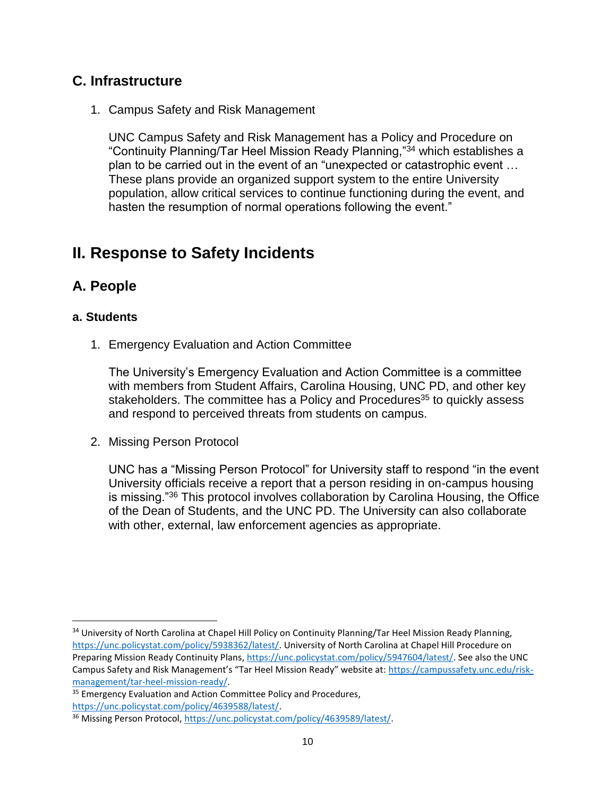### **C. Infrastructure**

1. Campus Safety and Risk Management

UNC Campus Safety and Risk Management has a Policy and Procedure on "Continuity Planning/Tar Heel Mission Ready Planning,"<sup>34</sup> which establishes a plan to be carried out in the event of an "unexpected or catastrophic event … These plans provide an organized support system to the entire University population, allow critical services to continue functioning during the event, and hasten the resumption of normal operations following the event."

## **II. Response to Safety Incidents**

### **A. People**

#### **a. Students**

 $\overline{a}$ 

1. Emergency Evaluation and Action Committee

The University's Emergency Evaluation and Action Committee is a committee with members from Student Affairs, Carolina Housing, UNC PD, and other key stakeholders. The committee has a Policy and Procedures<sup>35</sup> to quickly assess and respond to perceived threats from students on campus.

2. Missing Person Protocol

UNC has a "Missing Person Protocol" for University staff to respond "in the event University officials receive a report that a person residing in on-campus housing is missing."<sup>36</sup> This protocol involves collaboration by Carolina Housing, the Office of the Dean of Students, and the UNC PD. The University can also collaborate with other, external, law enforcement agencies as appropriate.

<sup>34</sup> University of North Carolina at Chapel Hill Policy on Continuity Planning/Tar Heel Mission Ready Planning, [https://unc.policystat.com/policy/5938362/latest/.](https://unc.policystat.com/policy/5938362/latest/) University of North Carolina at Chapel Hill Procedure on Preparing Mission Ready Continuity Plans[, https://unc.policystat.com/policy/5947604/latest/.](https://unc.policystat.com/policy/5947604/latest/) See also the UNC Campus Safety and Risk Management's "Tar Heel Mission Ready" website at: [https://campussafety.unc.edu/risk](https://campussafety.unc.edu/risk-management/tar-heel-mission-ready/)[management/tar-heel-mission-ready/.](https://campussafety.unc.edu/risk-management/tar-heel-mission-ready/)

<sup>&</sup>lt;sup>35</sup> Emergency Evaluation and Action Committee Policy and Procedures, [https://unc.policystat.com/policy/4639588/latest/.](https://unc.policystat.com/policy/4639588/latest/)

<sup>36</sup> Missing Person Protocol, [https://unc.policystat.com/policy/4639589/latest/.](https://unc.policystat.com/policy/4639589/latest/)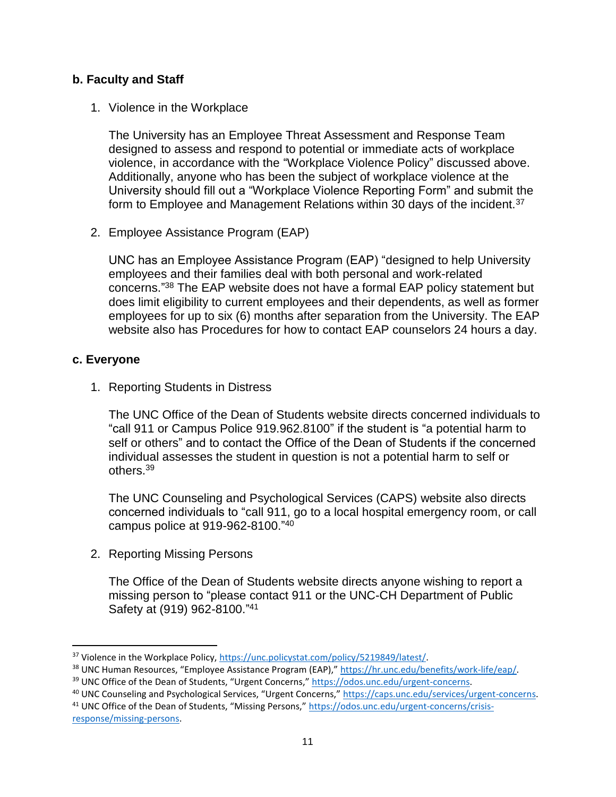#### **b. Faculty and Staff**

1. Violence in the Workplace

The University has an Employee Threat Assessment and Response Team designed to assess and respond to potential or immediate acts of workplace violence, in accordance with the "Workplace Violence Policy" discussed above. Additionally, anyone who has been the subject of workplace violence at the University should fill out a "Workplace Violence Reporting Form" and submit the form to Employee and Management Relations within 30 days of the incident.<sup>37</sup>

2. Employee Assistance Program (EAP)

UNC has an Employee Assistance Program (EAP) "designed to help University employees and their families deal with both personal and work-related concerns." <sup>38</sup> The EAP website does not have a formal EAP policy statement but does limit eligibility to current employees and their dependents, as well as former employees for up to six (6) months after separation from the University. The EAP website also has Procedures for how to contact EAP counselors 24 hours a day.

#### **c. Everyone**

1. Reporting Students in Distress

The UNC Office of the Dean of Students website directs concerned individuals to "call 911 or Campus Police 919.962.8100" if the student is "a potential harm to self or others" and to contact the Office of the Dean of Students if the concerned individual assesses the student in question is not a potential harm to self or others. 39

The UNC Counseling and Psychological Services (CAPS) website also directs concerned individuals to "call 911, go to a local hospital emergency room, or call campus police at 919-962-8100."<sup>40</sup>

2. Reporting Missing Persons

The Office of the Dean of Students website directs anyone wishing to report a missing person to "please contact 911 or the UNC-CH Department of Public Safety at (919) 962-8100."41

l <sup>37</sup> Violence in the Workplace Policy, [https://unc.policystat.com/policy/5219849/latest/.](https://unc.policystat.com/policy/5219849/latest/)

<sup>38</sup> UNC Human Resources, "Employee Assistance Program (EAP)," [https://hr.unc.edu/benefits/work-life/eap/.](https://hr.unc.edu/benefits/work-life/eap/)

<sup>39</sup> UNC Office of the Dean of Students, "Urgent Concerns," [https://odos.unc.edu/urgent-concerns.](https://odos.unc.edu/urgent-concerns)

<sup>40</sup> UNC Counseling and Psychological Services, "Urgent Concerns," [https://caps.unc.edu/services/urgent-concerns.](https://caps.unc.edu/services/urgent-concerns) <sup>41</sup> UNC Office of the Dean of Students, "Missing Persons," [https://odos.unc.edu/urgent-concerns/crisis](https://odos.unc.edu/urgent-concerns/crisis-response/missing-persons)[response/missing-persons.](https://odos.unc.edu/urgent-concerns/crisis-response/missing-persons)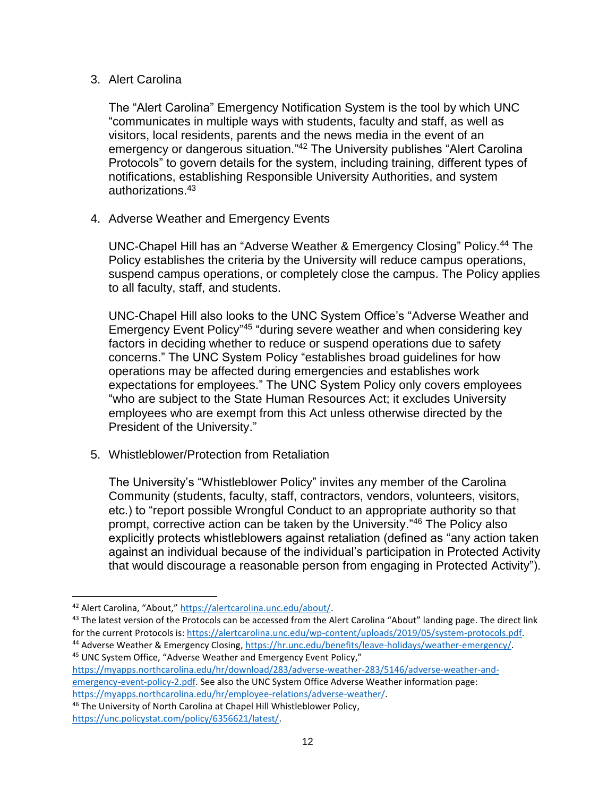#### 3. Alert Carolina

The "Alert Carolina" Emergency Notification System is the tool by which UNC "communicates in multiple ways with students, faculty and staff, as well as visitors, local residents, parents and the news media in the event of an emergency or dangerous situation."<sup>42</sup> The University publishes "Alert Carolina Protocols" to govern details for the system, including training, different types of notifications, establishing Responsible University Authorities, and system authorizations.<sup>43</sup>

4. Adverse Weather and Emergency Events

UNC-Chapel Hill has an "Adverse Weather & Emergency Closing" Policy.<sup>44</sup> The Policy establishes the criteria by the University will reduce campus operations, suspend campus operations, or completely close the campus. The Policy applies to all faculty, staff, and students.

UNC-Chapel Hill also looks to the UNC System Office's "Adverse Weather and Emergency Event Policy<sup>"45</sup> "during severe weather and when considering key factors in deciding whether to reduce or suspend operations due to safety concerns." The UNC System Policy "establishes broad guidelines for how operations may be affected during emergencies and establishes work expectations for employees." The UNC System Policy only covers employees "who are subject to the State Human Resources Act; it excludes University employees who are exempt from this Act unless otherwise directed by the President of the University."

5. Whistleblower/Protection from Retaliation

The University's "Whistleblower Policy" invites any member of the Carolina Community (students, faculty, staff, contractors, vendors, volunteers, visitors, etc.) to "report possible Wrongful Conduct to an appropriate authority so that prompt, corrective action can be taken by the University."<sup>46</sup> The Policy also explicitly protects whistleblowers against retaliation (defined as "any action taken against an individual because of the individual's participation in Protected Activity that would discourage a reasonable person from engaging in Protected Activity").

 $\overline{a}$ 

<sup>43</sup> The latest version of the Protocols can be accessed from the Alert Carolina "About" landing page. The direct link for the current Protocols is: [https://alertcarolina.unc.edu/wp-content/uploads/2019/05/system-protocols.pdf.](https://alertcarolina.unc.edu/wp-content/uploads/2019/05/system-protocols.pdf) <sup>44</sup> Adverse Weather & Emergency Closing, [https://hr.unc.edu/benefits/leave-holidays/weather-emergency/.](https://hr.unc.edu/benefits/leave-holidays/weather-emergency/)

<sup>45</sup> UNC System Office, "Adverse Weather and Emergency Event Policy," [https://myapps.northcarolina.edu/hr/download/283/adverse-weather-283/5146/adverse-weather-and](https://myapps.northcarolina.edu/hr/download/283/adverse-weather-283/5146/adverse-weather-and-emergency-event-policy-2.pdf)[emergency-event-policy-2.pdf.](https://myapps.northcarolina.edu/hr/download/283/adverse-weather-283/5146/adverse-weather-and-emergency-event-policy-2.pdf) See also the UNC System Office Adverse Weather information page: [https://myapps.northcarolina.edu/hr/employee-relations/adverse-weather/.](https://myapps.northcarolina.edu/hr/employee-relations/adverse-weather/)

<sup>46</sup> The University of North Carolina at Chapel Hill Whistleblower Policy, [https://unc.policystat.com/policy/6356621/latest/.](https://unc.policystat.com/policy/6356621/latest/)

<sup>42</sup> Alert Carolina, "About," [https://alertcarolina.unc.edu/about/.](https://alertcarolina.unc.edu/about/)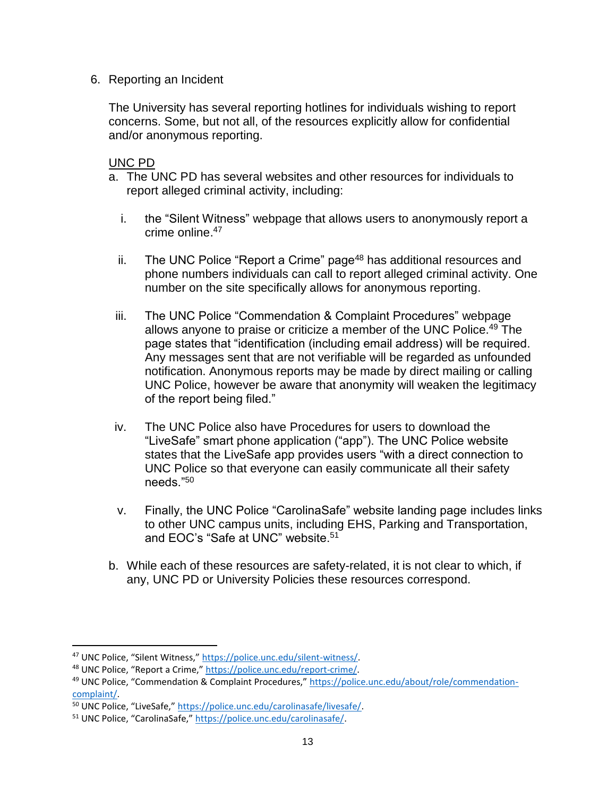6. Reporting an Incident

The University has several reporting hotlines for individuals wishing to report concerns. Some, but not all, of the resources explicitly allow for confidential and/or anonymous reporting.

UNC PD

- a. The UNC PD has several websites and other resources for individuals to report alleged criminal activity, including:
	- i. the "Silent Witness" webpage that allows users to anonymously report a crime online. 47
	- ii. The UNC Police "Report a Crime" page<sup>48</sup> has additional resources and phone numbers individuals can call to report alleged criminal activity. One number on the site specifically allows for anonymous reporting.
- iii. The UNC Police "Commendation & Complaint Procedures" webpage allows anyone to praise or criticize a member of the UNC Police.<sup>49</sup> The page states that "identification (including email address) will be required. Any messages sent that are not verifiable will be regarded as unfounded notification. Anonymous reports may be made by direct mailing or calling UNC Police, however be aware that anonymity will weaken the legitimacy of the report being filed."
- iv. The UNC Police also have Procedures for users to download the "LiveSafe" smart phone application ("app"). The UNC Police website states that the LiveSafe app provides users "with a direct connection to UNC Police so that everyone can easily communicate all their safety needs."<sup>50</sup>
- v. Finally, the UNC Police "CarolinaSafe" website landing page includes links to other UNC campus units, including EHS, Parking and Transportation, and EOC's "Safe at UNC" website.<sup>51</sup>
- b. While each of these resources are safety-related, it is not clear to which, if any, UNC PD or University Policies these resources correspond.

l

<sup>47</sup> UNC Police, "Silent Witness," [https://police.unc.edu/silent-witness/.](https://police.unc.edu/silent-witness/)

<sup>48</sup> UNC Police, "Report a Crime," [https://police.unc.edu/report-crime/.](https://police.unc.edu/report-crime/)

<sup>49</sup> UNC Police, "Commendation & Complaint Procedures," [https://police.unc.edu/about/role/commendation](https://police.unc.edu/about/role/commendation-complaint/)[complaint/.](https://police.unc.edu/about/role/commendation-complaint/)

<sup>50</sup> UNC Police, "LiveSafe," [https://police.unc.edu/carolinasafe/livesafe/.](https://police.unc.edu/carolinasafe/livesafe/)

<sup>51</sup> UNC Police, "CarolinaSafe," [https://police.unc.edu/carolinasafe/.](https://police.unc.edu/carolinasafe/)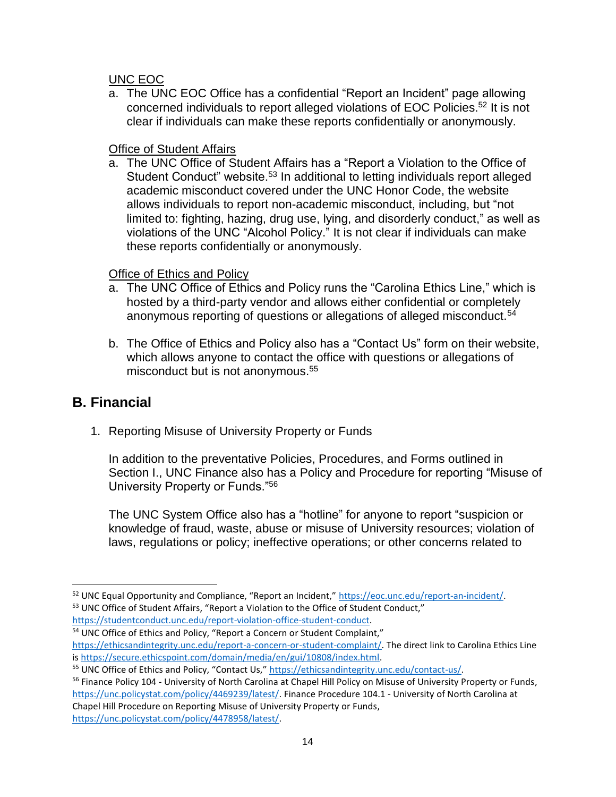#### UNC EOC

a. The UNC EOC Office has a confidential "Report an Incident" page allowing concerned individuals to report alleged violations of EOC Policies.<sup>52</sup> It is not clear if individuals can make these reports confidentially or anonymously.

#### **Office of Student Affairs**

a. The UNC Office of Student Affairs has a "Report a Violation to the Office of Student Conduct" website.<sup>53</sup> In additional to letting individuals report alleged academic misconduct covered under the UNC Honor Code, the website allows individuals to report non-academic misconduct, including, but "not limited to: fighting, hazing, drug use, lying, and disorderly conduct," as well as violations of the UNC "Alcohol Policy." It is not clear if individuals can make these reports confidentially or anonymously.

#### Office of Ethics and Policy

- a. The UNC Office of Ethics and Policy runs the "Carolina Ethics Line," which is hosted by a third-party vendor and allows either confidential or completely anonymous reporting of questions or allegations of alleged misconduct.<sup>54</sup>
- b. The Office of Ethics and Policy also has a "Contact Us" form on their website, which allows anyone to contact the office with questions or allegations of misconduct but is not anonymous. 55

### **B. Financial**

 $\overline{\phantom{a}}$ 

1. Reporting Misuse of University Property or Funds

In addition to the preventative Policies, Procedures, and Forms outlined in Section I., UNC Finance also has a Policy and Procedure for reporting "Misuse of University Property or Funds."<sup>56</sup>

The UNC System Office also has a "hotline" for anyone to report "suspicion or knowledge of fraud, waste, abuse or misuse of University resources; violation of laws, regulations or policy; ineffective operations; or other concerns related to

<sup>52</sup> UNC Equal Opportunity and Compliance, "Report an Incident," [https://eoc.unc.edu/report-an-incident/.](https://eoc.unc.edu/report-an-incident/) 53 UNC Office of Student Affairs, "Report a Violation to the Office of Student Conduct," [https://studentconduct.unc.edu/report-violation-office-student-conduct.](https://studentconduct.unc.edu/report-violation-office-student-conduct)

<sup>&</sup>lt;sup>54</sup> UNC Office of Ethics and Policy, "Report a Concern or Student Complaint," [https://ethicsandintegrity.unc.edu/report-a-concern-or-student-complaint/.](https://ethicsandintegrity.unc.edu/report-a-concern-or-student-complaint/) The direct link to Carolina Ethics Line i[s https://secure.ethicspoint.com/domain/media/en/gui/10808/index.html.](https://secure.ethicspoint.com/domain/media/en/gui/10808/index.html)

<sup>55</sup> UNC Office of Ethics and Policy, "Contact Us," [https://ethicsandintegrity.unc.edu/contact-us/.](https://ethicsandintegrity.unc.edu/contact-us/)

<sup>&</sup>lt;sup>56</sup> Finance Policy 104 - University of North Carolina at Chapel Hill Policy on Misuse of University Property or Funds, [https://unc.policystat.com/policy/4469239/latest/.](https://unc.policystat.com/policy/4469239/latest/) Finance Procedure 104.1 - University of North Carolina at Chapel Hill Procedure on Reporting Misuse of University Property or Funds, [https://unc.policystat.com/policy/4478958/latest/.](https://unc.policystat.com/policy/4478958/latest/)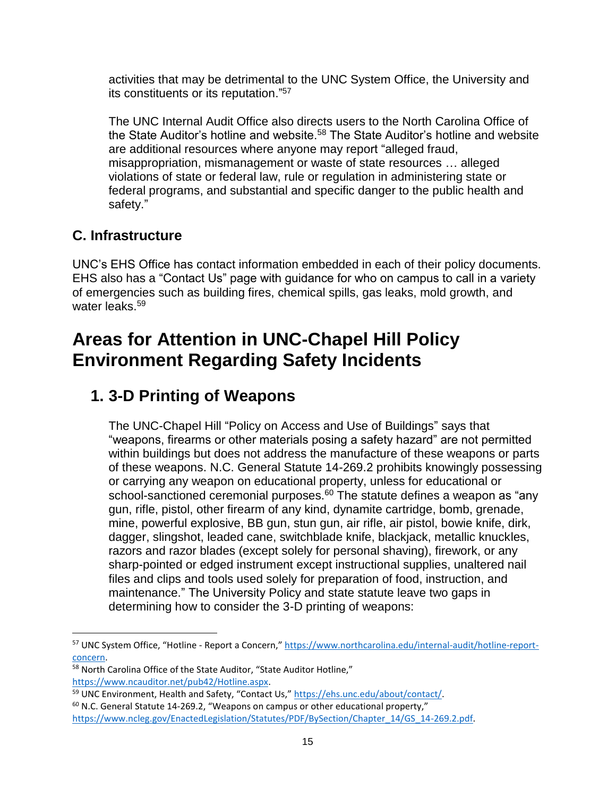activities that may be detrimental to the UNC System Office, the University and its constituents or its reputation."<sup>57</sup>

The UNC Internal Audit Office also directs users to the North Carolina Office of the State Auditor's hotline and website.<sup>58</sup> The State Auditor's hotline and website are additional resources where anyone may report "alleged fraud, misappropriation, mismanagement or waste of state resources … alleged violations of state or federal law, rule or regulation in administering state or federal programs, and substantial and specific danger to the public health and safety."

### **C. Infrastructure**

 $\overline{\phantom{a}}$ 

UNC's EHS Office has contact information embedded in each of their policy documents. EHS also has a "Contact Us" page with guidance for who on campus to call in a variety of emergencies such as building fires, chemical spills, gas leaks, mold growth, and water leaks.<sup>59</sup>

## **Areas for Attention in UNC-Chapel Hill Policy Environment Regarding Safety Incidents**

## **1. 3-D Printing of Weapons**

The UNC-Chapel Hill "Policy on Access and Use of Buildings" says that "weapons, firearms or other materials posing a safety hazard" are not permitted within buildings but does not address the manufacture of these weapons or parts of these weapons. N.C. General Statute 14-269.2 prohibits knowingly possessing or carrying any weapon on educational property, unless for educational or school-sanctioned ceremonial purposes.<sup>60</sup> The statute defines a weapon as "any gun, rifle, pistol, other firearm of any kind, dynamite cartridge, bomb, grenade, mine, powerful explosive, BB gun, stun gun, air rifle, air pistol, bowie knife, dirk, dagger, slingshot, leaded cane, switchblade knife, blackjack, metallic knuckles, razors and razor blades (except solely for personal shaving), firework, or any sharp-pointed or edged instrument except instructional supplies, unaltered nail files and clips and tools used solely for preparation of food, instruction, and maintenance." The University Policy and state statute leave two gaps in determining how to consider the 3-D printing of weapons:

<sup>57</sup> UNC System Office, "Hotline - Report a Concern," [https://www.northcarolina.edu/internal-audit/hotline-report](https://www.northcarolina.edu/internal-audit/hotline-report-concern)[concern.](https://www.northcarolina.edu/internal-audit/hotline-report-concern)

<sup>58</sup> North Carolina Office of the State Auditor, "State Auditor Hotline," [https://www.ncauditor.net/pub42/Hotline.aspx.](https://www.ncauditor.net/pub42/Hotline.aspx)

<sup>59</sup> UNC Environment, Health and Safety, "Contact Us," [https://ehs.unc.edu/about/contact/.](https://ehs.unc.edu/about/contact/)

 $60$  N.C. General Statute 14-269.2, "Weapons on campus or other educational property," [https://www.ncleg.gov/EnactedLegislation/Statutes/PDF/BySection/Chapter\\_14/GS\\_14-269.2.pdf.](https://www.ncleg.gov/EnactedLegislation/Statutes/PDF/BySection/Chapter_14/GS_14-269.2.pdf)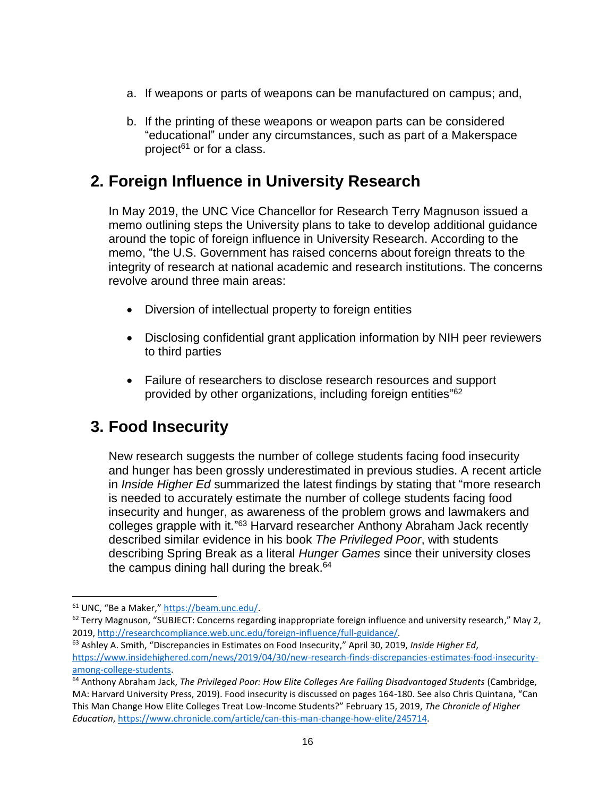- a. If weapons or parts of weapons can be manufactured on campus; and,
- b. If the printing of these weapons or weapon parts can be considered "educational" under any circumstances, such as part of a Makerspace project $61$  or for a class.

## **2. Foreign Influence in University Research**

In May 2019, the UNC Vice Chancellor for Research Terry Magnuson issued a memo outlining steps the University plans to take to develop additional guidance around the topic of foreign influence in University Research. According to the memo, "the U.S. Government has raised concerns about foreign threats to the integrity of research at national academic and research institutions. The concerns revolve around three main areas:

- Diversion of intellectual property to foreign entities
- Disclosing confidential grant application information by NIH peer reviewers to third parties
- Failure of researchers to disclose research resources and support provided by other organizations, including foreign entities"<sup>62</sup>

### **3. Food Insecurity**

New research suggests the number of college students facing food insecurity and hunger has been grossly underestimated in previous studies. A recent article in *Inside Higher Ed* summarized the latest findings by stating that "more research is needed to accurately estimate the number of college students facing food insecurity and hunger, as awareness of the problem grows and lawmakers and colleges grapple with it."<sup>63</sup> Harvard researcher Anthony Abraham Jack recently described similar evidence in his book *The Privileged Poor*, with students describing Spring Break as a literal *Hunger Games* since their university closes the campus dining hall during the break. 64

 $\overline{a}$ 

<sup>61</sup> UNC, "Be a Maker," [https://beam.unc.edu/.](https://beam.unc.edu/)

 $62$  Terry Magnuson, "SUBJECT: Concerns regarding inappropriate foreign influence and university research," May 2, 2019, [http://researchcompliance.web.unc.edu/foreign-influence/full-guidance/.](http://researchcompliance.web.unc.edu/foreign-influence/full-guidance/)

<sup>63</sup> Ashley A. Smith, "Discrepancies in Estimates on Food Insecurity," April 30, 2019, *Inside Higher Ed*, [https://www.insidehighered.com/news/2019/04/30/new-research-finds-discrepancies-estimates-food-insecurity](https://www.insidehighered.com/news/2019/04/30/new-research-finds-discrepancies-estimates-food-insecurity-among-college-students)[among-college-students.](https://www.insidehighered.com/news/2019/04/30/new-research-finds-discrepancies-estimates-food-insecurity-among-college-students)

<sup>64</sup> Anthony Abraham Jack, *The Privileged Poor: How Elite Colleges Are Failing Disadvantaged Students* (Cambridge, MA: Harvard University Press, 2019). Food insecurity is discussed on pages 164-180. See also Chris Quintana, "Can This Man Change How Elite Colleges Treat Low-Income Students?" February 15, 2019, *The Chronicle of Higher Education*, [https://www.chronicle.com/article/can-this-man-change-how-elite/245714.](https://www.chronicle.com/article/can-this-man-change-how-elite/245714)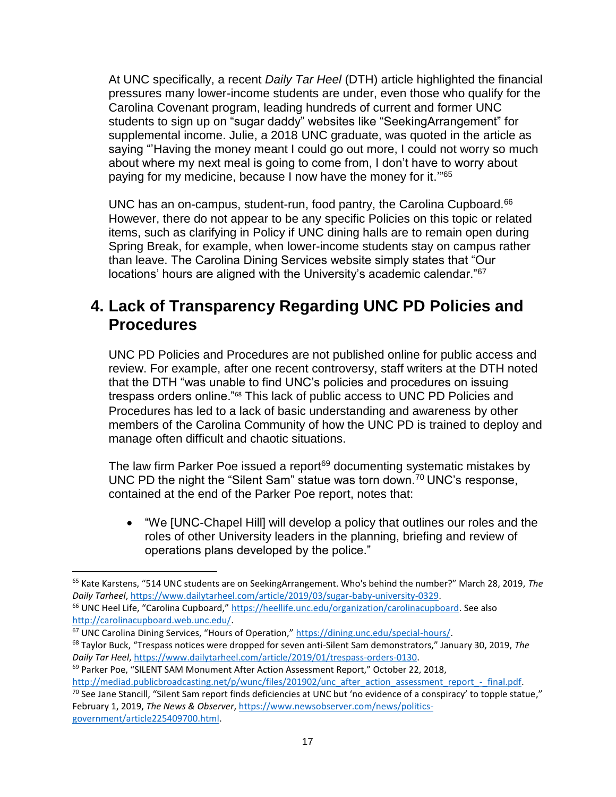At UNC specifically, a recent *Daily Tar Heel* (DTH) article highlighted the financial pressures many lower-income students are under, even those who qualify for the Carolina Covenant program, leading hundreds of current and former UNC students to sign up on "sugar daddy" websites like "SeekingArrangement" for supplemental income. Julie, a 2018 UNC graduate, was quoted in the article as saying "Having the money meant I could go out more, I could not worry so much about where my next meal is going to come from, I don't have to worry about paying for my medicine, because I now have the money for it.'"<sup>65</sup>

UNC has an on-campus, student-run, food pantry, the Carolina Cupboard.<sup>66</sup> However, there do not appear to be any specific Policies on this topic or related items, such as clarifying in Policy if UNC dining halls are to remain open during Spring Break, for example, when lower-income students stay on campus rather than leave. The Carolina Dining Services website simply states that "Our locations' hours are aligned with the University's academic calendar."<sup>67</sup>

### **4. Lack of Transparency Regarding UNC PD Policies and Procedures**

UNC PD Policies and Procedures are not published online for public access and review. For example, after one recent controversy, staff writers at the DTH noted that the DTH "was unable to find UNC's policies and procedures on issuing trespass orders online."<sup>68</sup> This lack of public access to UNC PD Policies and Procedures has led to a lack of basic understanding and awareness by other members of the Carolina Community of how the UNC PD is trained to deploy and manage often difficult and chaotic situations.

The law firm Parker Poe issued a report<sup>69</sup> documenting systematic mistakes by UNC PD the night the "Silent Sam" statue was torn down.<sup>70</sup> UNC's response, contained at the end of the Parker Poe report, notes that:

• "We [UNC-Chapel Hill] will develop a policy that outlines our roles and the roles of other University leaders in the planning, briefing and review of operations plans developed by the police."

 $\overline{\phantom{a}}$ 

<sup>68</sup> Taylor Buck, "Trespass notices were dropped for seven anti-Silent Sam demonstrators," January 30, 2019, *The Daily Tar Heel*, [https://www.dailytarheel.com/article/2019/01/trespass-orders-0130.](https://www.dailytarheel.com/article/2019/01/trespass-orders-0130)

[http://mediad.publicbroadcasting.net/p/wunc/files/201902/unc\\_after\\_action\\_assessment\\_report\\_-\\_final.pdf.](http://mediad.publicbroadcasting.net/p/wunc/files/201902/unc_after_action_assessment_report_-_final.pdf)  $70$  See Jane Stancill, "Silent Sam report finds deficiencies at UNC but 'no evidence of a conspiracy' to topple statue," February 1, 2019, *The News & Observer*[, https://www.newsobserver.com/news/politics-](https://www.newsobserver.com/news/politics-government/article225409700.html)

[government/article225409700.html.](https://www.newsobserver.com/news/politics-government/article225409700.html)

<sup>65</sup> Kate Karstens, "514 UNC students are on SeekingArrangement. Who's behind the number?" March 28, 2019, *The Daily Tarheel*, [https://www.dailytarheel.com/article/2019/03/sugar-baby-university-0329.](https://www.dailytarheel.com/article/2019/03/sugar-baby-university-0329) <sup>66</sup> UNC Heel Life, "Carolina Cupboard," [https://heellife.unc.edu/organization/carolinacupboard.](https://heellife.unc.edu/organization/carolinacupboard) See also

[http://carolinacupboard.web.unc.edu/.](http://carolinacupboard.web.unc.edu/)

<sup>67</sup> UNC Carolina Dining Services, "Hours of Operation," [https://dining.unc.edu/special-hours/.](https://dining.unc.edu/special-hours/)

<sup>&</sup>lt;sup>69</sup> Parker Poe, "SILENT SAM Monument After Action Assessment Report," October 22, 2018,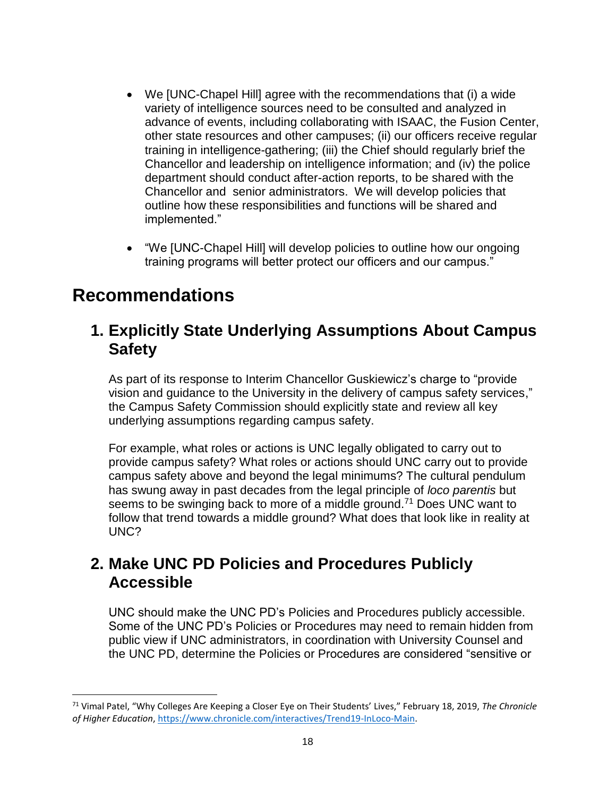- We [UNC-Chapel Hill] agree with the recommendations that (i) a wide variety of intelligence sources need to be consulted and analyzed in advance of events, including collaborating with ISAAC, the Fusion Center, other state resources and other campuses; (ii) our officers receive regular training in intelligence-gathering; (iii) the Chief should regularly brief the Chancellor and leadership on intelligence information; and (iv) the police department should conduct after-action reports, to be shared with the Chancellor and senior administrators. We will develop policies that outline how these responsibilities and functions will be shared and implemented."
- "We [UNC-Chapel Hill] will develop policies to outline how our ongoing training programs will better protect our officers and our campus."

## **Recommendations**

 $\overline{\phantom{a}}$ 

### **1. Explicitly State Underlying Assumptions About Campus Safety**

As part of its response to Interim Chancellor Guskiewicz's charge to "provide vision and guidance to the University in the delivery of campus safety services," the Campus Safety Commission should explicitly state and review all key underlying assumptions regarding campus safety.

For example, what roles or actions is UNC legally obligated to carry out to provide campus safety? What roles or actions should UNC carry out to provide campus safety above and beyond the legal minimums? The cultural pendulum has swung away in past decades from the legal principle of *loco parentis* but seems to be swinging back to more of a middle ground.<sup>71</sup> Does UNC want to follow that trend towards a middle ground? What does that look like in reality at UNC?

## **2. Make UNC PD Policies and Procedures Publicly Accessible**

UNC should make the UNC PD's Policies and Procedures publicly accessible. Some of the UNC PD's Policies or Procedures may need to remain hidden from public view if UNC administrators, in coordination with University Counsel and the UNC PD, determine the Policies or Procedures are considered "sensitive or

<sup>71</sup> Vimal Patel, "Why Colleges Are Keeping a Closer Eye on Their Students' Lives," February 18, 2019, *The Chronicle of Higher Education*, [https://www.chronicle.com/interactives/Trend19-InLoco-Main.](https://www.chronicle.com/interactives/Trend19-InLoco-Main)